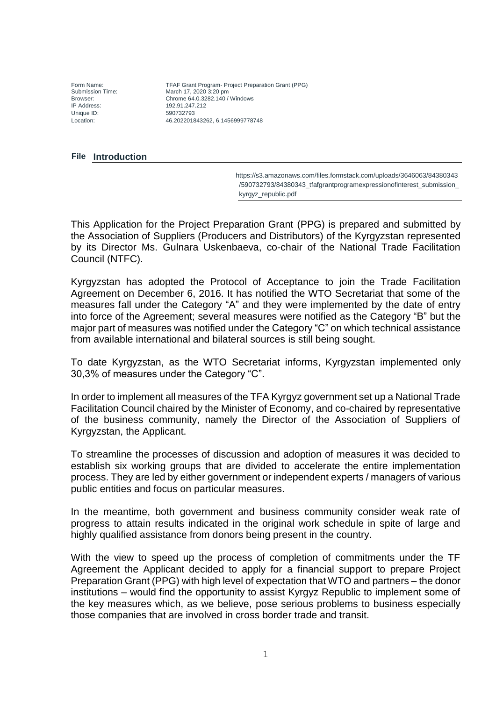Unique ID: 590732793

Form Name: TFAF Grant Program- Project Preparation Grant (PPG)<br>Submission Time: March 17, 2020 3:20 pm Submission Time: March 17, 2020 3:20 pm<br>
Rrowser: Chrome 64.0.3282.140 / Browser: Chrome 64.0.3282.140 / Windows IP Address: 192.91.247.212 Location: 46.202201843262, 6.1456999778748

### **Introduction File**

 [https://s3.amazonaws.com/files.formstack.com/uploads/3646063/84380343](https://iconnect.wto.org/files.formstack.com/uploads/3646063/84380343/590732793/,DanaInfo=s3.amazonaws.com,SSL+84380343_tfafgrantprogramexpressionofinterest_submission_kyrgyz_republic.pdf) [/590732793/84380343\\_tfafgrantprogramexpressionofinterest\\_submission\\_](https://iconnect.wto.org/files.formstack.com/uploads/3646063/84380343/590732793/,DanaInfo=s3.amazonaws.com,SSL+84380343_tfafgrantprogramexpressionofinterest_submission_kyrgyz_republic.pdf) [kyrgyz\\_republic.pdf](https://iconnect.wto.org/files.formstack.com/uploads/3646063/84380343/590732793/,DanaInfo=s3.amazonaws.com,SSL+84380343_tfafgrantprogramexpressionofinterest_submission_kyrgyz_republic.pdf)

This Application for the Project Preparation Grant (PPG) is prepared and submitted by the Association of Suppliers (Producers and Distributors) of the Kyrgyzstan represented by its Director Ms. Gulnara Uskenbaeva, co-chair of the National Trade Facilitation Council (NTFC).

Kyrgyzstan has adopted the Protocol of Acceptance to join the Trade Facilitation Agreement on December 6, 2016. It has notified the WTO Secretariat that some of the measures fall under the Category "A" and they were implemented by the date of entry into force of the Agreement; several measures were notified as the Category "B" but the major part of measures was notified under the Category "C" on which technical assistance from available international and bilateral sources is still being sought.

To date Kyrgyzstan, as the WTO Secretariat informs, Kyrgyzstan implemented only 30,3% of measures under the Category "C".

In order to implement all measures of the TFA Kyrgyz government set up a National Trade Facilitation Council chaired by the Minister of Economy, and co-chaired by representative of the business community, namely the Director of the Association of Suppliers of Kyrgyzstan, the Applicant.

To streamline the processes of discussion and adoption of measures it was decided to establish six working groups that are divided to accelerate the entire implementation process. They are led by either government or independent experts / managers of various public entities and focus on particular measures.

In the meantime, both government and business community consider weak rate of progress to attain results indicated in the original work schedule in spite of large and highly qualified assistance from donors being present in the country.

With the view to speed up the process of completion of commitments under the TF Agreement the Applicant decided to apply for a financial support to prepare Project Preparation Grant (PPG) with high level of expectation that WTO and partners – the donor institutions – would find the opportunity to assist Kyrgyz Republic to implement some of the key measures which, as we believe, pose serious problems to business especially those companies that are involved in cross border trade and transit.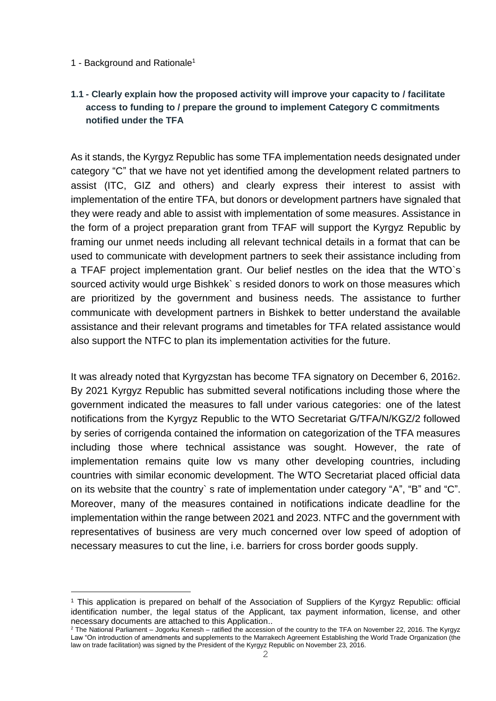### 1 - Background and Rationale<sup>1</sup>

-

# **1.1 - Clearly explain how the proposed activity will improve your capacity to / facilitate access to funding to / prepare the ground to implement Category C commitments notified under the TFA**

As it stands, the Kyrgyz Republic has some TFA implementation needs designated under category "C" that we have not yet identified among the development related partners to assist (ITC, GIZ and others) and clearly express their interest to assist with implementation of the entire TFA, but donors or development partners have signaled that they were ready and able to assist with implementation of some measures. Assistance in the form of a project preparation grant from TFAF will support the Kyrgyz Republic by framing our unmet needs including all relevant technical details in a format that can be used to communicate with development partners to seek their assistance including from a TFAF project implementation grant. Our belief nestles on the idea that the WTO`s sourced activity would urge Bishkek` s resided donors to work on those measures which are prioritized by the government and business needs. The assistance to further communicate with development partners in Bishkek to better understand the available assistance and their relevant programs and timetables for TFA related assistance would also support the NTFC to plan its implementation activities for the future.

It was already noted that Kyrgyzstan has become TFA signatory on December 6, 20162. By 2021 Kyrgyz Republic has submitted several notifications including those where the government indicated the measures to fall under various categories: one of the latest notifications from the Kyrgyz Republic to the WTO Secretariat G/TFA/N/KGZ/2 followed by series of corrigenda contained the information on categorization of the TFA measures including those where technical assistance was sought. However, the rate of implementation remains quite low vs many other developing countries, including countries with similar economic development. The WTO Secretariat placed official data on its website that the country` s rate of implementation under category "A", "B" and "C". Moreover, many of the measures contained in notifications indicate deadline for the implementation within the range between 2021 and 2023. NTFC and the government with representatives of business are very much concerned over low speed of adoption of necessary measures to cut the line, i.e. barriers for cross border goods supply.

<sup>1</sup> This application is prepared on behalf of the Association of Suppliers of the Kyrgyz Republic: official identification number, the legal status of the Applicant, tax payment information, license, and other necessary documents are attached to this Application..

<sup>2</sup> The National Parliament – Jogorku Kenesh – ratified the accession of the country to the TFA on November 22, 2016. The Kyrgyz Law "On introduction of amendments and supplements to the Marrakech Agreement Establishing the World Trade Organization (the law on trade facilitation) was signed by the President of the Kyrgyz Republic on November 23, 2016.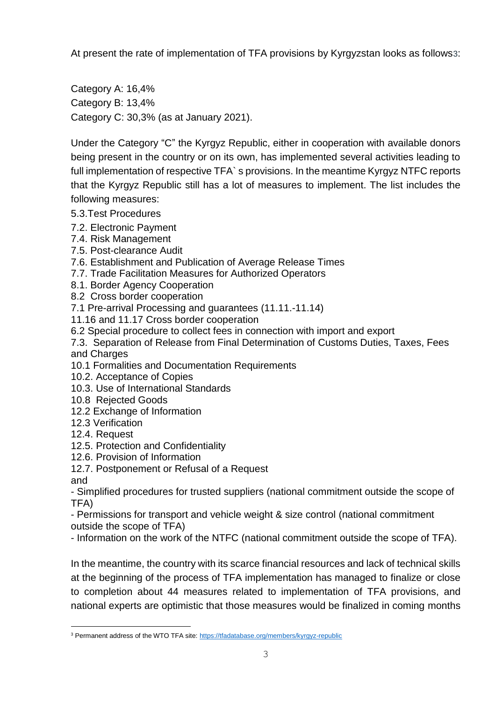At present the rate of implementation of TFA provisions by Kyrgyzstan looks as follows3:

Category A: 16,4% Category B: 13,4% Category C: 30,3% (as at January 2021).

Under the Category "C" the Kyrgyz Republic, either in cooperation with available donors being present in the country or on its own, has implemented several activities leading to full implementation of respective TFA` s provisions. In the meantime Kyrgyz NTFC reports that the Kyrgyz Republic still has a lot of measures to implement. The list includes the following measures:

- 5.3.Test Procedures
- 7.2. Electronic Payment
- 7.4. Risk Management
- 7.5. Post-clearance Audit
- 7.6. Establishment and Publication of Average Release Times
- 7.7. Trade Facilitation Measures for Authorized Operators
- 8.1. Border Agency Cooperation
- 8.2 Cross border cooperation
- 7.1 Pre-arrival Processing and guarantees (11.11.-11.14)
- 11.16 and 11.17 Cross border cooperation
- 6.2 Special procedure to collect fees in connection with import and export
- 7.3. Separation of Release from Final Determination of Customs Duties, Taxes, Fees and Charges
- 10.1 Formalities and Documentation Requirements
- 10.2. Acceptance of Copies
- 10.3. Use of International Standards
- 10.8 Rejected Goods
- 12.2 Exchange of Information
- 12.3 Verification
- 12.4. Request
- 12.5. Protection and Confidentiality
- 12.6. Provision of Information
- 12.7. Postponement or Refusal of a Request
- and

<u>—</u>

- Simplified procedures for trusted suppliers (national commitment outside the scope of TFA)

- Permissions for transport and vehicle weight & size control (national commitment outside the scope of TFA)

- Information on the work of the NTFC (national commitment outside the scope of TFA).

In the meantime, the country with its scarce financial resources and lack of technical skills at the beginning of the process of TFA implementation has managed to finalize or close to completion about 44 measures related to implementation of TFA provisions, and national experts are optimistic that those measures would be finalized in coming months

<sup>&</sup>lt;sup>3</sup> Permanent address of the WTO TFA site[: https://tfadatabase.org/members/kyrgyz-republic](https://iconnect.wto.org/members/,DanaInfo=tfadatabase.org,SSL+kyrgyz-republic)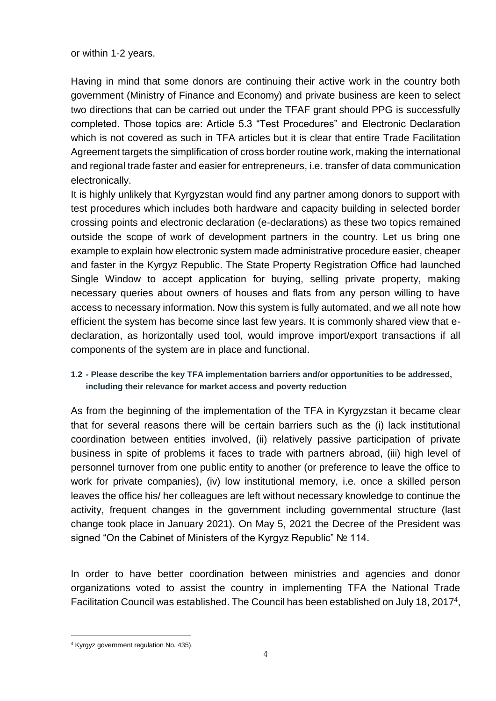or within 1-2 years.

Having in mind that some donors are continuing their active work in the country both government (Ministry of Finance and Economy) and private business are keen to select two directions that can be carried out under the TFAF grant should PPG is successfully completed. Those topics are: Article 5.3 "Test Procedures" and Electronic Declaration which is not covered as such in TFA articles but it is clear that entire Trade Facilitation Agreement targets the simplification of cross border routine work, making the international and regional trade faster and easier for entrepreneurs, i.e. transfer of data communication electronically.

It is highly unlikely that Kyrgyzstan would find any partner among donors to support with test procedures which includes both hardware and capacity building in selected border crossing points and electronic declaration (e-declarations) as these two topics remained outside the scope of work of development partners in the country. Let us bring one example to explain how electronic system made administrative procedure easier, cheaper and faster in the Kyrgyz Republic. The State Property Registration Office had launched Single Window to accept application for buying, selling private property, making necessary queries about owners of houses and flats from any person willing to have access to necessary information. Now this system is fully automated, and we all note how efficient the system has become since last few years. It is commonly shared view that edeclaration, as horizontally used tool, would improve import/export transactions if all components of the system are in place and functional.

# **1.2 - Please describe the key TFA implementation barriers and/or opportunities to be addressed, including their relevance for market access and poverty reduction**

As from the beginning of the implementation of the TFA in Kyrgyzstan it became clear that for several reasons there will be certain barriers such as the (i) lack institutional coordination between entities involved, (ii) relatively passive participation of private business in spite of problems it faces to trade with partners abroad, (iii) high level of personnel turnover from one public entity to another (or preference to leave the office to work for private companies), (iv) low institutional memory, i.e. once a skilled person leaves the office his/ her colleagues are left without necessary knowledge to continue the activity, frequent changes in the government including governmental structure (last change took place in January 2021). On May 5, 2021 the Decree of the President was signed "On the Cabinet of Ministers of the Kyrgyz Republic" № 114.

In order to have better coordination between ministries and agencies and donor organizations voted to assist the country in implementing TFA the National Trade Facilitation Council was established. The Council has been established on July 18, 2017<sup>4</sup>,

<u>—</u>

<sup>4</sup> Kyrgyz government regulation No. 435).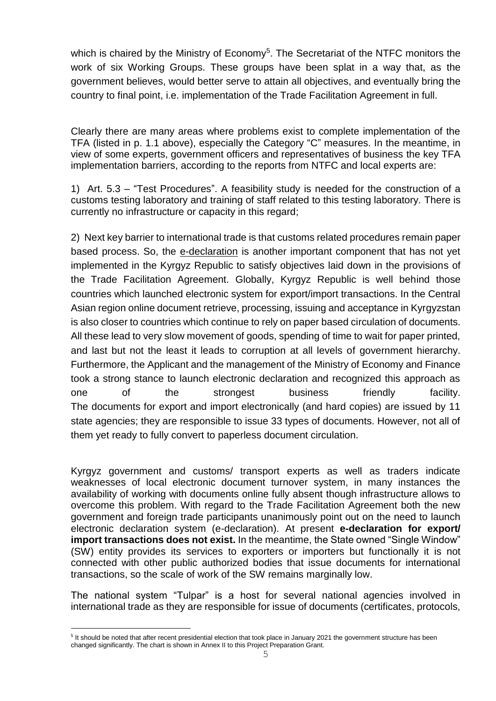which is chaired by the Ministry of Economy<sup>5</sup>. The Secretariat of the NTFC monitors the work of six Working Groups. These groups have been splat in a way that, as the government believes, would better serve to attain all objectives, and eventually bring the country to final point, i.e. implementation of the Trade Facilitation Agreement in full.

Clearly there are many areas where problems exist to complete implementation of the TFA (listed in p. 1.1 above), especially the Category "C" measures. In the meantime, in view of some experts, government officers and representatives of business the key TFA implementation barriers, according to the reports from NTFC and local experts are:

1) Art. 5.3 – "Test Procedures". A feasibility study is needed for the construction of a customs testing laboratory and training of staff related to this testing laboratory. There is currently no infrastructure or capacity in this regard;

2) Next key barrier to international trade is that customs related procedures remain paper based process. So, the e-declaration is another important component that has not yet implemented in the Kyrgyz Republic to satisfy objectives laid down in the provisions of the Trade Facilitation Agreement. Globally, Kyrgyz Republic is well behind those countries which launched electronic system for export/import transactions. In the Central Asian region online document retrieve, processing, issuing and acceptance in Kyrgyzstan is also closer to countries which continue to rely on paper based circulation of documents. All these lead to very slow movement of goods, spending of time to wait for paper printed, and last but not the least it leads to corruption at all levels of government hierarchy. Furthermore, the Applicant and the management of the Ministry of Economy and Finance took a strong stance to launch electronic declaration and recognized this approach as one of the strongest business friendly facility. The documents for export and import electronically (and hard copies) are issued by 11 state agencies; they are responsible to issue 33 types of documents. However, not all of them yet ready to fully convert to paperless document circulation.

Kyrgyz government and customs/ transport experts as well as traders indicate weaknesses of local electronic document turnover system, in many instances the availability of working with documents online fully absent though infrastructure allows to overcome this problem. With regard to the Trade Facilitation Agreement both the new government and foreign trade participants unanimously point out on the need to launch electronic declaration system (e-declaration). At present **e-declaration for export/ import transactions does not exist.** In the meantime, the State owned "Single Window" (SW) entity provides its services to exporters or importers but functionally it is not connected with other public authorized bodies that issue documents for international transactions, so the scale of work of the SW remains marginally low.

The national system "Tulpar" is a host for several national agencies involved in international trade as they are responsible for issue of documents (certificates, protocols,

<u>—</u>

<sup>&</sup>lt;sup>5</sup> It should be noted that after recent presidential election that took place in January 2021 the government structure has been changed significantly. The chart is shown in Annex II to this Project Preparation Grant.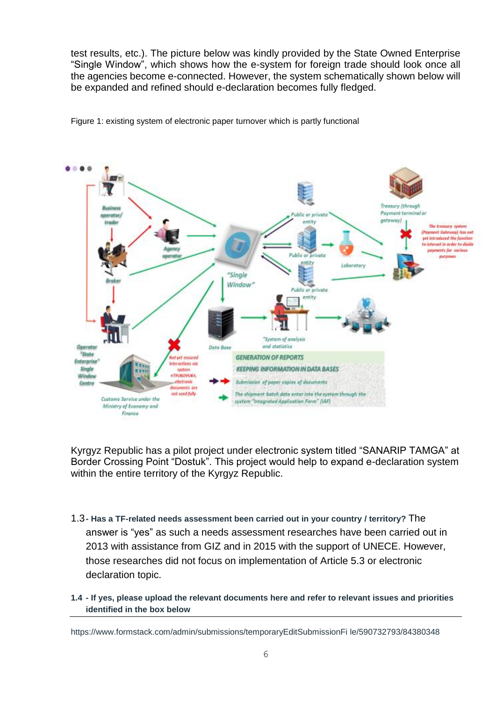test results, etc.). The picture below was kindly provided by the State Owned Enterprise "Single Window", which shows how the e-system for foreign trade should look once all the agencies become e-connected. However, the system schematically shown below will be expanded and refined should e-declaration becomes fully fledged.



Figure 1: existing system of electronic paper turnover which is partly functional

Kyrgyz Republic has a pilot project under electronic system titled "SANARIP TAMGA" at Border Crossing Point "Dostuk". This project would help to expand e-declaration system within the entire territory of the Kyrgyz Republic.

- 1.3**- Has a TF-related needs assessment been carried out in your country / territory?** The answer is "yes" as such a needs assessment researches have been carried out in 2013 with assistance from GIZ and in 2015 with the support of UNECE. However, those researches did not focus on implementation of Article 5.3 or electronic declaration topic.
- **1.4 - If yes, please upload the relevant documents here and refer to relevant issues and priorities identified in the box below**

[https://www.formstack.com/admin/submissions/temporaryEditSubmissionFi](https://iconnect.wto.org/admin/submissions/temporaryEditSubmissionFile/590732793/,DanaInfo=www.formstack.com,SSL+84380348) [le/590732793/84380348](https://iconnect.wto.org/admin/submissions/temporaryEditSubmissionFile/590732793/,DanaInfo=www.formstack.com,SSL+84380348)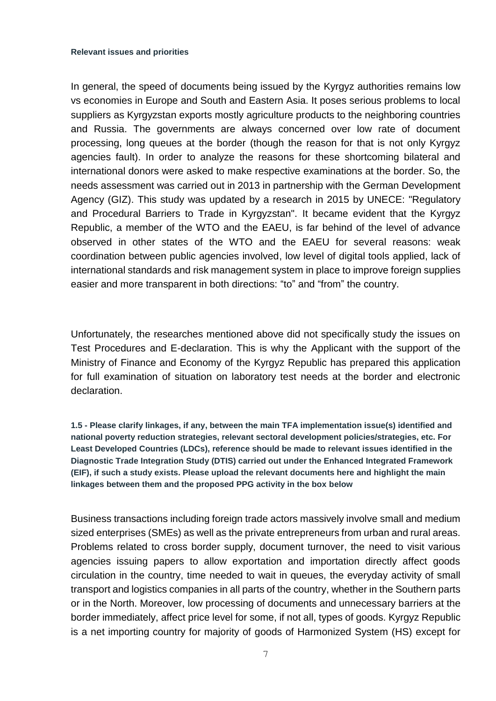#### **Relevant issues and priorities**

In general, the speed of documents being issued by the Kyrgyz authorities remains low vs economies in Europe and South and Eastern Asia. It poses serious problems to local suppliers as Kyrgyzstan exports mostly agriculture products to the neighboring countries and Russia. The governments are always concerned over low rate of document processing, long queues at the border (though the reason for that is not only Kyrgyz agencies fault). In order to analyze the reasons for these shortcoming bilateral and international donors were asked to make respective examinations at the border. So, the needs assessment was carried out in 2013 in partnership with the German Development Agency (GIZ). This study was updated by a research in 2015 by UNECE: "Regulatory and Procedural Barriers to Trade in Kyrgyzstan". It became evident that the Kyrgyz Republic, a member of the WTO and the EAEU, is far behind of the level of advance observed in other states of the WTO and the EAEU for several reasons: weak coordination between public agencies involved, low level of digital tools applied, lack of international standards and risk management system in place to improve foreign supplies easier and more transparent in both directions: "to" and "from" the country.

Unfortunately, the researches mentioned above did not specifically study the issues on Test Procedures and E-declaration. This is why the Applicant with the support of the Ministry of Finance and Economy of the Kyrgyz Republic has prepared this application for full examination of situation on laboratory test needs at the border and electronic declaration.

**1.5 - Please clarify linkages, if any, between the main TFA implementation issue(s) identified and national poverty reduction strategies, relevant sectoral development policies/strategies, etc. For Least Developed Countries (LDCs), reference should be made to relevant issues identified in the Diagnostic Trade Integration Study (DTIS) carried out under the Enhanced Integrated Framework (EIF), if such a study exists. Please upload the relevant documents here and highlight the main linkages between them and the proposed PPG activity in the box below**

Business transactions including foreign trade actors massively involve small and medium sized enterprises (SMEs) as well as the private entrepreneurs from urban and rural areas. Problems related to cross border supply, document turnover, the need to visit various agencies issuing papers to allow exportation and importation directly affect goods circulation in the country, time needed to wait in queues, the everyday activity of small transport and logistics companies in all parts of the country, whether in the Southern parts or in the North. Moreover, low processing of documents and unnecessary barriers at the border immediately, affect price level for some, if not all, types of goods. Kyrgyz Republic is a net importing country for majority of goods of Harmonized System (HS) except for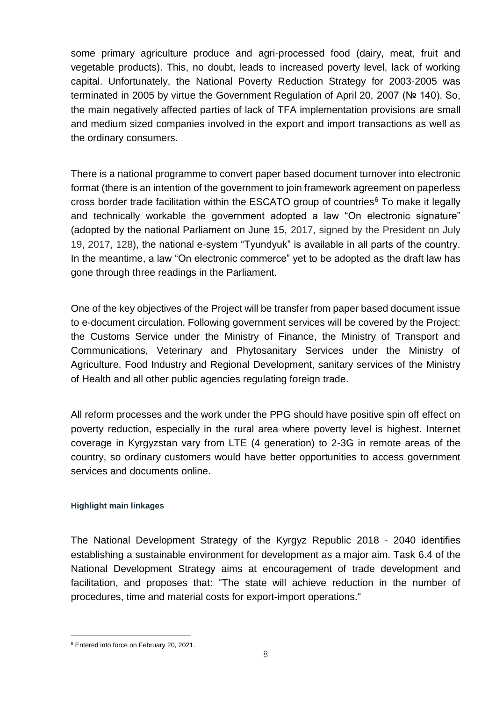some primary agriculture produce and agri-processed food (dairy, meat, fruit and vegetable products). This, no doubt, leads to increased poverty level, lack of working capital. Unfortunately, the National Poverty Reduction Strategy for 2003-2005 was terminated in 2005 by virtue the Government Regulation of April 20, 2007 (№ 140). So, the main negatively affected parties of lack of TFA implementation provisions are small and medium sized companies involved in the export and import transactions as well as the ordinary consumers.

There is a national programme to convert paper based document turnover into electronic format (there is an intention of the government to join framework agreement on paperless cross border trade facilitation within the ESCATO group of countries<sup> $6$ </sup> To make it legally and technically workable the government adopted a law "On electronic signature" (adopted by the national Parliament on June 15, 2017, signed by the President on July 19, 2017, 128), the national e-system "Tyundyuk" is available in all parts of the country. In the meantime, a law "On electronic commerce" yet to be adopted as the draft law has gone through three readings in the Parliament.

One of the key objectives of the Project will be transfer from paper based document issue to e-document circulation. Following government services will be covered by the Project: the Customs Service under the Ministry of Finance, the Ministry of Transport and Communications, Veterinary and Phytosanitary Services under the Ministry of Agriculture, Food Industry and Regional Development, sanitary services of the Ministry of Health and all other public agencies regulating foreign trade.

All reform processes and the work under the PPG should have positive spin off effect on poverty reduction, especially in the rural area where poverty level is highest. Internet coverage in Kyrgyzstan vary from LTE (4 generation) to 2-3G in remote areas of the country, so ordinary customers would have better opportunities to access government services and documents online.

### **Highlight main linkages**

The National Development Strategy of the Kyrgyz Republic 2018 - 2040 identifies establishing a sustainable environment for development as a major aim. Task 6.4 of the National Development Strategy aims at encouragement of trade development and facilitation, and proposes that: "The state will achieve reduction in the number of procedures, time and material costs for export-import operations."

<u>—</u>

<sup>6</sup> Entered into force on February 20, 2021.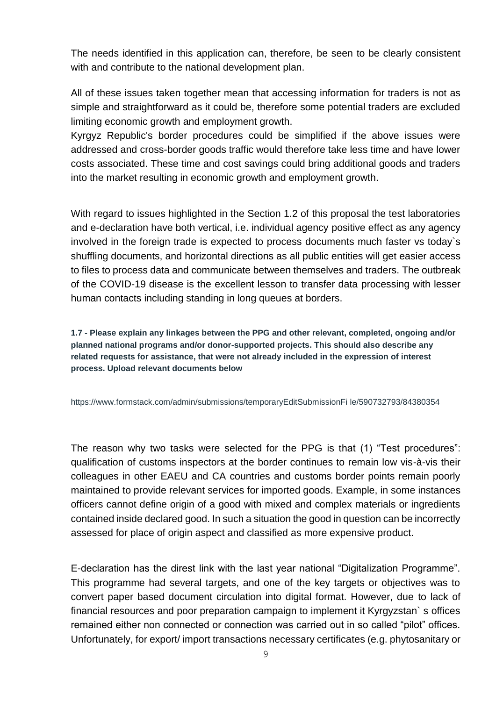The needs identified in this application can, therefore, be seen to be clearly consistent with and contribute to the national development plan.

All of these issues taken together mean that accessing information for traders is not as simple and straightforward as it could be, therefore some potential traders are excluded limiting economic growth and employment growth.

Kyrgyz Republic's border procedures could be simplified if the above issues were addressed and cross-border goods traffic would therefore take less time and have lower costs associated. These time and cost savings could bring additional goods and traders into the market resulting in economic growth and employment growth.

With regard to issues highlighted in the Section 1.2 of this proposal the test laboratories and e-declaration have both vertical, i.e. individual agency positive effect as any agency involved in the foreign trade is expected to process documents much faster vs today`s shuffling documents, and horizontal directions as all public entities will get easier access to files to process data and communicate between themselves and traders. The outbreak of the COVID-19 disease is the excellent lesson to transfer data processing with lesser human contacts including standing in long queues at borders.

**1.7 - Please explain any linkages between the PPG and other relevant, completed, ongoing and/or planned national programs and/or donor-supported projects. This should also describe any related requests for assistance, that were not already included in the expression of interest process. Upload relevant documents below**

[https://www.formstack.com/admin/submissions/temporaryEditSubmissionFi](https://iconnect.wto.org/admin/submissions/temporaryEditSubmissionFile/590732793/,DanaInfo=www.formstack.com,SSL+84380354) [le/590732793/84380354](https://iconnect.wto.org/admin/submissions/temporaryEditSubmissionFile/590732793/,DanaInfo=www.formstack.com,SSL+84380354)

The reason why two tasks were selected for the PPG is that (1) "Test procedures": qualification of customs inspectors at the border continues to remain low vis-à-vis their colleagues in other EAEU and CA countries and customs border points remain poorly maintained to provide relevant services for imported goods. Example, in some instances officers cannot define origin of a good with mixed and complex materials or ingredients contained inside declared good. In such a situation the good in question can be incorrectly assessed for place of origin aspect and classified as more expensive product.

E-declaration has the direst link with the last year national "Digitalization Programme". This programme had several targets, and one of the key targets or objectives was to convert paper based document circulation into digital format. However, due to lack of financial resources and poor preparation campaign to implement it Kyrgyzstan` s offices remained either non connected or connection was carried out in so called "pilot" offices. Unfortunately, for export/ import transactions necessary certificates (e.g. phytosanitary or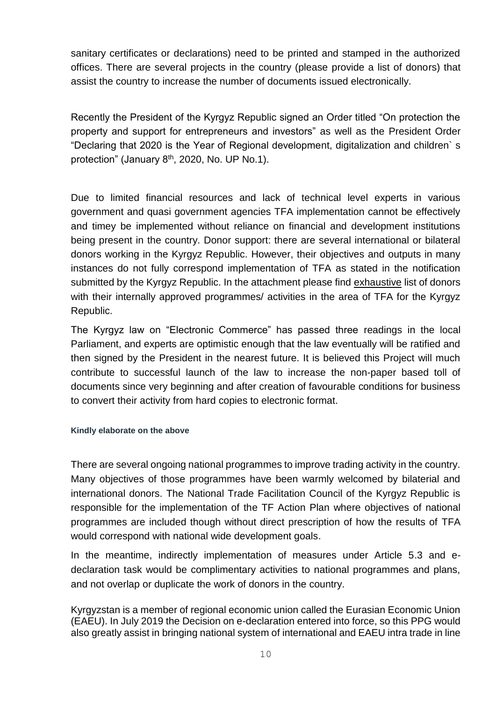sanitary certificates or declarations) need to be printed and stamped in the authorized offices. There are several projects in the country (please provide a list of donors) that assist the country to increase the number of documents issued electronically.

Recently the President of the Kyrgyz Republic signed an Order titled "On protection the property and support for entrepreneurs and investors" as well as the President Order "Declaring that 2020 is the Year of Regional development, digitalization and children` s protection" (January 8<sup>th</sup>, 2020, No. UP No.1).

Due to limited financial resources and lack of technical level experts in various government and quasi government agencies TFA implementation cannot be effectively and timey be implemented without reliance on financial and development institutions being present in the country. Donor support: there are several international or bilateral donors working in the Kyrgyz Republic. However, their objectives and outputs in many instances do not fully correspond implementation of TFA as stated in the notification submitted by the Kyrgyz Republic. In the attachment please find exhaustive list of donors with their internally approved programmes/ activities in the area of TFA for the Kyrgyz Republic.

The Kyrgyz law on "Electronic Commerce" has passed three readings in the local Parliament, and experts are optimistic enough that the law eventually will be ratified and then signed by the President in the nearest future. It is believed this Project will much contribute to successful launch of the law to increase the non-paper based toll of documents since very beginning and after creation of favourable conditions for business to convert their activity from hard copies to electronic format.

### **Kindly elaborate on the above**

There are several ongoing national programmes to improve trading activity in the country. Many objectives of those programmes have been warmly welcomed by bilaterial and international donors. The National Trade Facilitation Council of the Kyrgyz Republic is responsible for the implementation of the TF Action Plan where objectives of national programmes are included though without direct prescription of how the results of TFA would correspond with national wide development goals.

In the meantime, indirectly implementation of measures under Article 5.3 and edeclaration task would be complimentary activities to national programmes and plans, and not overlap or duplicate the work of donors in the country.

Kyrgyzstan is a member of regional economic union called the Eurasian Economic Union (EAEU). In July 2019 the Decision on e-declaration entered into force, so this PPG would also greatly assist in bringing national system of international and EAEU intra trade in line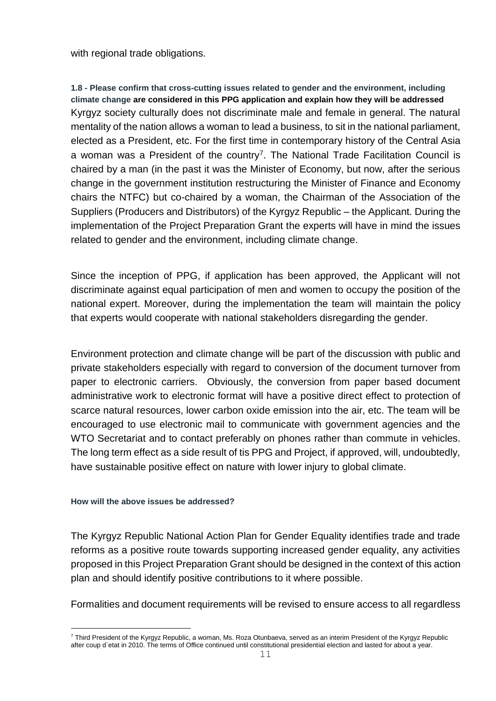with regional trade obligations.

**1.8 - Please confirm that cross-cutting issues related to gender and the environment, including climate change are considered in this PPG application and explain how they will be addressed** Kyrgyz society culturally does not discriminate male and female in general. The natural mentality of the nation allows a woman to lead a business, to sit in the national parliament, elected as a President, etc. For the first time in contemporary history of the Central Asia a woman was a President of the country<sup>7</sup>. The National Trade Facilitation Council is chaired by a man (in the past it was the Minister of Economy, but now, after the serious change in the government institution restructuring the Minister of Finance and Economy chairs the NTFC) but co-chaired by a woman, the Chairman of the Association of the Suppliers (Producers and Distributors) of the Kyrgyz Republic – the Applicant. During the implementation of the Project Preparation Grant the experts will have in mind the issues related to gender and the environment, including climate change.

Since the inception of PPG, if application has been approved, the Applicant will not discriminate against equal participation of men and women to occupy the position of the national expert. Moreover, during the implementation the team will maintain the policy that experts would cooperate with national stakeholders disregarding the gender.

Environment protection and climate change will be part of the discussion with public and private stakeholders especially with regard to conversion of the document turnover from paper to electronic carriers. Obviously, the conversion from paper based document administrative work to electronic format will have a positive direct effect to protection of scarce natural resources, lower carbon oxide emission into the air, etc. The team will be encouraged to use electronic mail to communicate with government agencies and the WTO Secretariat and to contact preferably on phones rather than commute in vehicles. The long term effect as a side result of tis PPG and Project, if approved, will, undoubtedly, have sustainable positive effect on nature with lower injury to global climate.

### **How will the above issues be addressed?**

<u>—</u>

The Kyrgyz Republic National Action Plan for Gender Equality identifies trade and trade reforms as a positive route towards supporting increased gender equality, any activities proposed in this Project Preparation Grant should be designed in the context of this action plan and should identify positive contributions to it where possible.

Formalities and document requirements will be revised to ensure access to all regardless

<sup>7</sup> Third President of the Kyrgyz Republic, a woman, Ms. Roza Otunbaeva, served as an interim President of the Kyrgyz Republic after coup d`etat in 2010. The terms of Office continued until constitutional presidential election and lasted for about a year.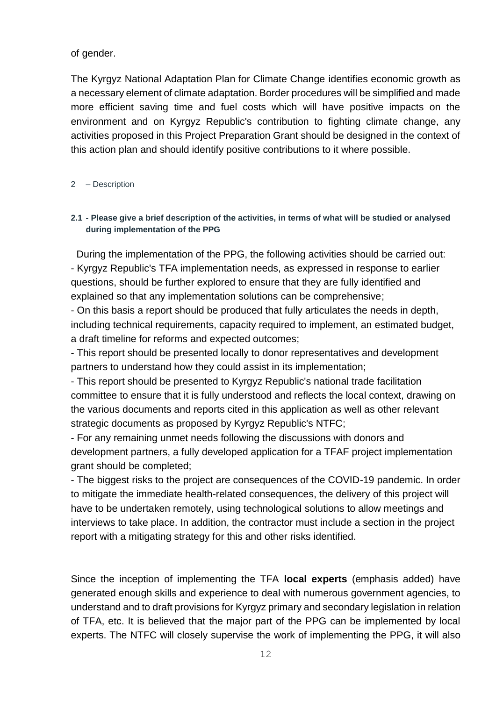of gender.

The Kyrgyz National Adaptation Plan for Climate Change identifies economic growth as a necessary element of climate adaptation. Border procedures will be simplified and made more efficient saving time and fuel costs which will have positive impacts on the environment and on Kyrgyz Republic's contribution to fighting climate change, any activities proposed in this Project Preparation Grant should be designed in the context of this action plan and should identify positive contributions to it where possible.

### 2 – Description

# **2.1 - Please give a brief description of the activities, in terms of what will be studied or analysed during implementation of the PPG**

 During the implementation of the PPG, the following activities should be carried out: - Kyrgyz Republic's TFA implementation needs, as expressed in response to earlier questions, should be further explored to ensure that they are fully identified and explained so that any implementation solutions can be comprehensive;

- On this basis a report should be produced that fully articulates the needs in depth, including technical requirements, capacity required to implement, an estimated budget, a draft timeline for reforms and expected outcomes;

- This report should be presented locally to donor representatives and development partners to understand how they could assist in its implementation;

- This report should be presented to Kyrgyz Republic's national trade facilitation committee to ensure that it is fully understood and reflects the local context, drawing on the various documents and reports cited in this application as well as other relevant strategic documents as proposed by Kyrgyz Republic's NTFC;

- For any remaining unmet needs following the discussions with donors and development partners, a fully developed application for a TFAF project implementation grant should be completed;

- The biggest risks to the project are consequences of the COVID-19 pandemic. In order to mitigate the immediate health-related consequences, the delivery of this project will have to be undertaken remotely, using technological solutions to allow meetings and interviews to take place. In addition, the contractor must include a section in the project report with a mitigating strategy for this and other risks identified.

Since the inception of implementing the TFA **local experts** (emphasis added) have generated enough skills and experience to deal with numerous government agencies, to understand and to draft provisions for Kyrgyz primary and secondary legislation in relation of TFA, etc. It is believed that the major part of the PPG can be implemented by local experts. The NTFC will closely supervise the work of implementing the PPG, it will also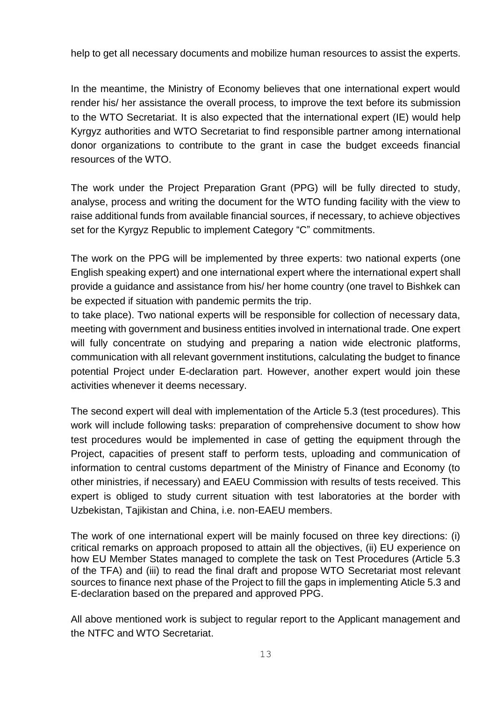help to get all necessary documents and mobilize human resources to assist the experts.

In the meantime, the Ministry of Economy believes that one international expert would render his/ her assistance the overall process, to improve the text before its submission to the WTO Secretariat. It is also expected that the international expert (IE) would help Kyrgyz authorities and WTO Secretariat to find responsible partner among international donor organizations to contribute to the grant in case the budget exceeds financial resources of the WTO.

The work under the Project Preparation Grant (PPG) will be fully directed to study, analyse, process and writing the document for the WTO funding facility with the view to raise additional funds from available financial sources, if necessary, to achieve objectives set for the Kyrgyz Republic to implement Category "C" commitments.

The work on the PPG will be implemented by three experts: two national experts (one English speaking expert) and one international expert where the international expert shall provide a guidance and assistance from his/ her home country (one travel to Bishkek can be expected if situation with pandemic permits the trip.

to take place). Two national experts will be responsible for collection of necessary data, meeting with government and business entities involved in international trade. One expert will fully concentrate on studying and preparing a nation wide electronic platforms, communication with all relevant government institutions, calculating the budget to finance potential Project under E-declaration part. However, another expert would join these activities whenever it deems necessary.

The second expert will deal with implementation of the Article 5.3 (test procedures). This work will include following tasks: preparation of comprehensive document to show how test procedures would be implemented in case of getting the equipment through the Project, capacities of present staff to perform tests, uploading and communication of information to central customs department of the Ministry of Finance and Economy (to other ministries, if necessary) and EAEU Commission with results of tests received. This expert is obliged to study current situation with test laboratories at the border with Uzbekistan, Tajikistan and China, i.e. non-EAEU members.

The work of one international expert will be mainly focused on three key directions: (i) critical remarks on approach proposed to attain all the objectives, (ii) EU experience on how EU Member States managed to complete the task on Test Procedures (Article 5.3 of the TFA) and (iii) to read the final draft and propose WTO Secretariat most relevant sources to finance next phase of the Project to fill the gaps in implementing Aticle 5.3 and E-declaration based on the prepared and approved PPG.

All above mentioned work is subject to regular report to the Applicant management and the NTFC and WTO Secretariat.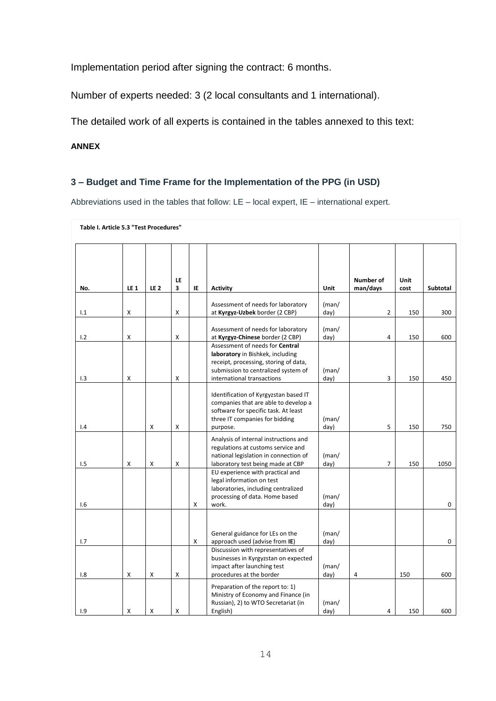Implementation period after signing the contract: 6 months.

Number of experts needed: 3 (2 local consultants and 1 international).

The detailed work of all experts is contained in the tables annexed to this text:

**ANNEX**

# **3 – Budget and Time Frame for the Implementation of the PPG (in USD)**

Abbreviations used in the tables that follow: LE – local expert, IE – international expert.

| Table I. Article 5.3 "Test Procedures" |             |             |         |     |                                                                                                                                                                                          |               |                              |              |                 |
|----------------------------------------|-------------|-------------|---------|-----|------------------------------------------------------------------------------------------------------------------------------------------------------------------------------------------|---------------|------------------------------|--------------|-----------------|
| No.                                    | <b>LE 1</b> | <b>LE 2</b> | LE<br>3 | IE. | <b>Activity</b>                                                                                                                                                                          | Unit          | <b>Number of</b><br>man/days | Unit<br>cost | <b>Subtotal</b> |
| 1.1                                    | x           |             | X       |     | Assessment of needs for laboratory<br>at Kyrgyz-Uzbek border (2 CBP)                                                                                                                     | (man/<br>day) | 2                            | 150          | 300             |
| 1.2                                    | Χ           |             | X       |     | Assessment of needs for laboratory<br>at Kyrgyz-Chinese border (2 CBP)                                                                                                                   | (man/<br>day) | 4                            | 150          | 600             |
| 1.3                                    | Χ           |             | Χ       |     | Assessment of needs for <b>Central</b><br>laboratory in Bishkek, including<br>receipt, processing, storing of data,<br>submission to centralized system of<br>international transactions | (man/<br>day) | 3                            | 150          | 450             |
| 1.4                                    |             | X           | x       |     | Identification of Kyrgyzstan based IT<br>companies that are able to develop a<br>software for specific task. At least<br>three IT companies for bidding<br>purpose.                      | (man/<br>day) | 5                            | 150          | 750             |
| 1.5                                    | x           | х           | X       |     | Analysis of internal instructions and<br>regulations at customs service and<br>national legislation in connection of<br>laboratory test being made at CBP                                | (man/<br>day) | $\overline{7}$               | 150          | 1050            |
| 1.6                                    |             |             |         | х   | EU experience with practical and<br>legal information on test<br>laboratories, including centralized<br>processing of data. Home based<br>work.                                          | (man/<br>day) |                              |              | 0               |
| 1.7                                    |             |             |         | X   | General guidance for LEs on the<br>approach used (advise from IE)                                                                                                                        | (man/<br>day) |                              |              | 0               |
| 1.8                                    | X           | Χ           | X       |     | Discussion with representatives of<br>businesses in Kyrgyzstan on expected<br>impact after launching test<br>procedures at the border                                                    | (man/<br>day) | 4                            | 150          | 600             |
| 1.9                                    | x           | X           | X       |     | Preparation of the report to: 1)<br>Ministry of Economy and Finance (in<br>Russian), 2) to WTO Secretariat (in<br>English)                                                               | (man/<br>day) | 4                            | 150          | 600             |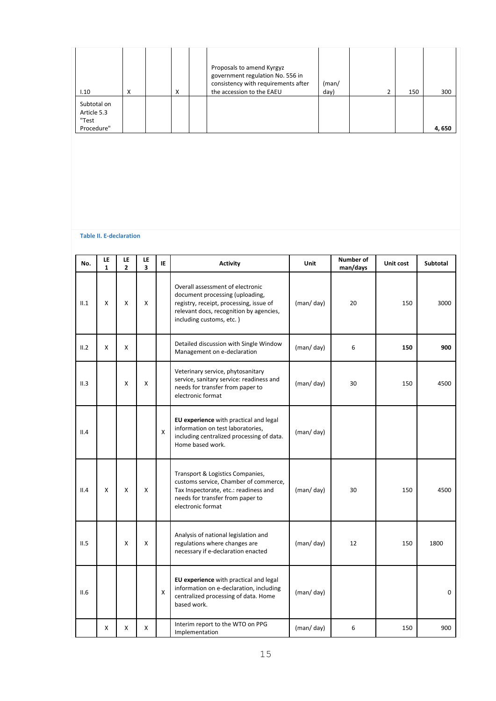| I.10                                              | A | X | Proposals to amend Kyrgyz<br>government regulation No. 556 in<br>consistency with requirements after<br>the accession to the EAEU | (man/<br>day) | 150 | 300   |
|---------------------------------------------------|---|---|-----------------------------------------------------------------------------------------------------------------------------------|---------------|-----|-------|
| Subtotal on<br>Article 5.3<br>"Test<br>Procedure" |   |   |                                                                                                                                   |               |     | 4,650 |

#### **Table II. E-declaration**

| No.  | LE<br>$\mathbf{1}$ | LE<br>$\overline{2}$ | LE<br>3        | IE | <b>Activity</b>                                                                                                                                                                       | Unit      | Number of<br>man/days | Unit cost | Subtotal    |
|------|--------------------|----------------------|----------------|----|---------------------------------------------------------------------------------------------------------------------------------------------------------------------------------------|-----------|-----------------------|-----------|-------------|
| II.1 | x                  | Χ                    | X              |    | Overall assessment of electronic<br>document processing (uploading,<br>registry, receipt, processing, issue of<br>relevant docs, recognition by agencies,<br>including customs, etc.) | (man/day) | 20                    | 150       | 3000        |
| II.2 | X                  | X                    |                |    | Detailed discussion with Single Window<br>Management on e-declaration                                                                                                                 | (man/day) | 6                     | 150       | 900         |
| II.3 |                    | X                    | X              |    | Veterinary service, phytosanitary<br>service, sanitary service: readiness and<br>needs for transfer from paper to<br>electronic format                                                | (man/day) | 30                    | 150       | 4500        |
| II.4 |                    |                      |                | X  | EU experience with practical and legal<br>information on test laboratories,<br>including centralized processing of data.<br>Home based work.                                          | (man/day) |                       |           |             |
| II.4 | X                  | Χ                    | X              |    | Transport & Logistics Companies,<br>customs service, Chamber of commerce,<br>Tax Inspectorate, etc.: readiness and<br>needs for transfer from paper to<br>electronic format           | (man/day) | 30                    | 150       | 4500        |
| II.5 |                    | X                    | $\pmb{\times}$ |    | Analysis of national legislation and<br>regulations where changes are<br>necessary if e-declaration enacted                                                                           | (man/day) | 12                    | 150       | 1800        |
| II.6 |                    |                      |                | X  | EU experience with practical and legal<br>information on e-declaration, including<br>centralized processing of data. Home<br>based work.                                              | (man/day) |                       |           | $\mathbf 0$ |
|      | X                  | x                    | х              |    | Interim report to the WTO on PPG<br>Implementation                                                                                                                                    | (man/day) | 6                     | 150       | 900         |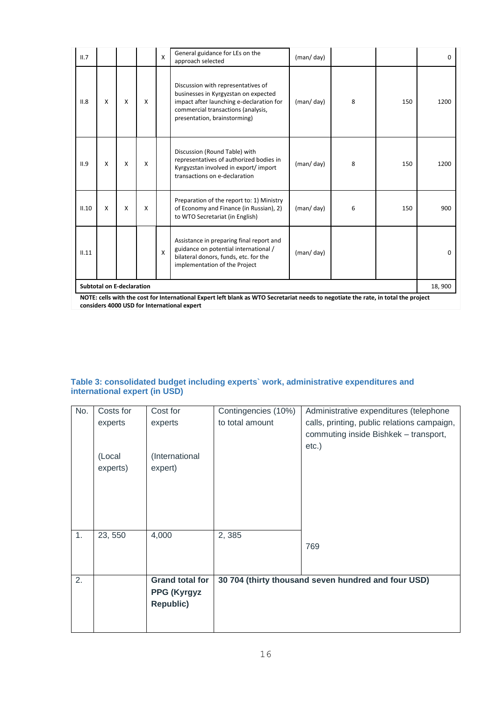| II.7  |                                  |   |                           | X | General guidance for LEs on the<br>approach selected                                                                                                                                         | (man/day) |   |     | 0        |
|-------|----------------------------------|---|---------------------------|---|----------------------------------------------------------------------------------------------------------------------------------------------------------------------------------------------|-----------|---|-----|----------|
| II.8  | X                                | X | X                         |   | Discussion with representatives of<br>businesses in Kyrgyzstan on expected<br>impact after launching e-declaration for<br>commercial transactions (analysis,<br>presentation, brainstorming) | (man/day) | 8 | 150 | 1200     |
| II.9  | X                                | X | $\boldsymbol{\mathsf{x}}$ |   | Discussion (Round Table) with<br>representatives of authorized bodies in<br>Kyrgyzstan involved in export/import<br>transactions on e-declaration                                            | (man/day) | 8 | 150 | 1200     |
| II.10 | X                                | X | $\boldsymbol{\mathsf{x}}$ |   | Preparation of the report to: 1) Ministry<br>of Economy and Finance (in Russian), 2)<br>to WTO Secretariat (in English)                                                                      | (man/day) | 6 | 150 | 900      |
| II.11 |                                  |   |                           | X | Assistance in preparing final report and<br>guidance on potential international /<br>bilateral donors, funds, etc. for the<br>implementation of the Project                                  | (man/day) |   |     | $\Omega$ |
|       | <b>Subtotal on E-declaration</b> |   |                           |   |                                                                                                                                                                                              |           |   |     | 18,900   |
|       |                                  |   |                           |   | NOTE: cells with the cost for International Expert left blank as WTO Secretariat needs to negotiate the rate, in total the project                                                           |           |   |     |          |

**NOTE: cells with the cost for International Expert left blank as WTO Secretariat needs to negotiate the rate, in total the project considers 4000 USD for International expert** 

#### **Table 3: consolidated budget including experts` work, administrative expenditures and international expert (in USD)**

| No. | Costs for | Cost for               | Contingencies (10%) | Administrative expenditures (telephone              |
|-----|-----------|------------------------|---------------------|-----------------------------------------------------|
|     | experts   | experts                | to total amount     | calls, printing, public relations campaign,         |
|     |           |                        |                     | commuting inside Bishkek - transport,               |
|     |           |                        |                     | $etc.$ )                                            |
|     | (Local    | (International         |                     |                                                     |
|     | experts)  | expert)                |                     |                                                     |
|     |           |                        |                     |                                                     |
|     |           |                        |                     |                                                     |
|     |           |                        |                     |                                                     |
|     |           |                        |                     |                                                     |
| 1.  | 23, 550   | 4,000                  | 2,385               |                                                     |
|     |           |                        |                     | 769                                                 |
|     |           |                        |                     |                                                     |
|     |           |                        |                     |                                                     |
| 2.  |           | <b>Grand total for</b> |                     | 30 704 (thirty thousand seven hundred and four USD) |
|     |           | <b>PPG (Kyrgyz</b>     |                     |                                                     |
|     |           | <b>Republic)</b>       |                     |                                                     |
|     |           |                        |                     |                                                     |
|     |           |                        |                     |                                                     |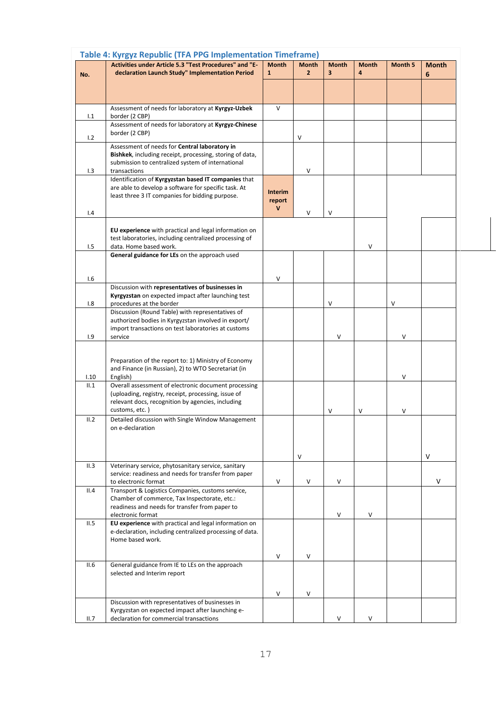|      | Table 4: Kyrgyz Republic (TFA PPG Implementation Timeframe)                                                  |              |                |                         |              |                |              |
|------|--------------------------------------------------------------------------------------------------------------|--------------|----------------|-------------------------|--------------|----------------|--------------|
|      | Activities under Article 5.3 "Test Procedures" and "E-                                                       | <b>Month</b> | <b>Month</b>   | <b>Month</b>            | <b>Month</b> | <b>Month 5</b> | <b>Month</b> |
| No.  | declaration Launch Study" Implementation Period                                                              | $\mathbf{1}$ | $\overline{2}$ | $\overline{\mathbf{3}}$ | 4            |                | 6            |
|      |                                                                                                              |              |                |                         |              |                |              |
|      |                                                                                                              |              |                |                         |              |                |              |
|      | Assessment of needs for laboratory at Kyrgyz-Uzbek                                                           | $\vee$       |                |                         |              |                |              |
| 1.1  | border (2 CBP)<br>Assessment of needs for laboratory at Kyrgyz-Chinese                                       |              |                |                         |              |                |              |
|      | border (2 CBP)                                                                                               |              |                |                         |              |                |              |
| 1.2  | Assessment of needs for Central laboratory in                                                                |              | ٧              |                         |              |                |              |
|      | Bishkek, including receipt, processing, storing of data,                                                     |              |                |                         |              |                |              |
|      | submission to centralized system of international                                                            |              |                |                         |              |                |              |
| 1.3  | transactions                                                                                                 |              | $\mathsf{V}$   |                         |              |                |              |
|      | Identification of Kyrgyzstan based IT companies that<br>are able to develop a software for specific task. At |              |                |                         |              |                |              |
|      | least three 3 IT companies for bidding purpose.                                                              | Interim      |                |                         |              |                |              |
|      |                                                                                                              | report<br>V  |                |                         |              |                |              |
| 1.4  |                                                                                                              |              | $\vee$         | v                       |              |                |              |
|      | EU experience with practical and legal information on                                                        |              |                |                         |              |                |              |
|      | test laboratories, including centralized processing of                                                       |              |                |                         |              |                |              |
| 1.5  | data. Home based work.                                                                                       |              |                |                         | V            |                |              |
|      | General guidance for LEs on the approach used                                                                |              |                |                         |              |                |              |
|      |                                                                                                              |              |                |                         |              |                |              |
| 1.6  |                                                                                                              | V            |                |                         |              |                |              |
|      | Discussion with representatives of businesses in                                                             |              |                |                         |              |                |              |
| 1.8  | Kyrgyzstan on expected impact after launching test<br>procedures at the border                               |              |                | V                       |              | V              |              |
|      | Discussion (Round Table) with representatives of                                                             |              |                |                         |              |                |              |
|      | authorized bodies in Kyrgyzstan involved in export/                                                          |              |                |                         |              |                |              |
|      | import transactions on test laboratories at customs                                                          |              |                | V                       |              |                |              |
| 1.9  | service                                                                                                      |              |                |                         |              | V              |              |
|      |                                                                                                              |              |                |                         |              |                |              |
|      | Preparation of the report to: 1) Ministry of Economy                                                         |              |                |                         |              |                |              |
| 1.10 | and Finance (in Russian), 2) to WTO Secretariat (in<br>English)                                              |              |                |                         |              | V              |              |
| II.1 | Overall assessment of electronic document processing                                                         |              |                |                         |              |                |              |
|      | (uploading, registry, receipt, processing, issue of                                                          |              |                |                         |              |                |              |
|      | relevant docs, recognition by agencies, including<br>customs, etc.)                                          |              |                |                         |              |                |              |
| II.2 | Detailed discussion with Single Window Management                                                            |              |                | V                       | V            | V              |              |
|      | on e-declaration                                                                                             |              |                |                         |              |                |              |
|      |                                                                                                              |              |                |                         |              |                |              |
|      |                                                                                                              |              |                |                         |              |                |              |
|      |                                                                                                              |              | V              |                         |              |                | V            |
| II.3 | Veterinary service, phytosanitary service, sanitary<br>service: readiness and needs for transfer from paper  |              |                |                         |              |                |              |
|      | to electronic format                                                                                         | V            | V              | V                       |              |                | V            |
| II.4 | Transport & Logistics Companies, customs service,                                                            |              |                |                         |              |                |              |
|      | Chamber of commerce, Tax Inspectorate, etc.:                                                                 |              |                |                         |              |                |              |
|      | readiness and needs for transfer from paper to<br>electronic format                                          |              |                | V                       | V            |                |              |
| II.5 | EU experience with practical and legal information on                                                        |              |                |                         |              |                |              |
|      | e-declaration, including centralized processing of data.                                                     |              |                |                         |              |                |              |
|      | Home based work.                                                                                             |              |                |                         |              |                |              |
|      |                                                                                                              | V            | $\mathsf{V}$   |                         |              |                |              |
| II.6 | General guidance from IE to LEs on the approach                                                              |              |                |                         |              |                |              |
|      | selected and Interim report                                                                                  |              |                |                         |              |                |              |
|      |                                                                                                              |              |                |                         |              |                |              |
|      |                                                                                                              | V            | V              |                         |              |                |              |
|      | Discussion with representatives of businesses in                                                             |              |                |                         |              |                |              |
| II.7 | Kyrgyzstan on expected impact after launching e-<br>declaration for commercial transactions                  |              |                | V                       | V            |                |              |
|      |                                                                                                              |              |                |                         |              |                |              |